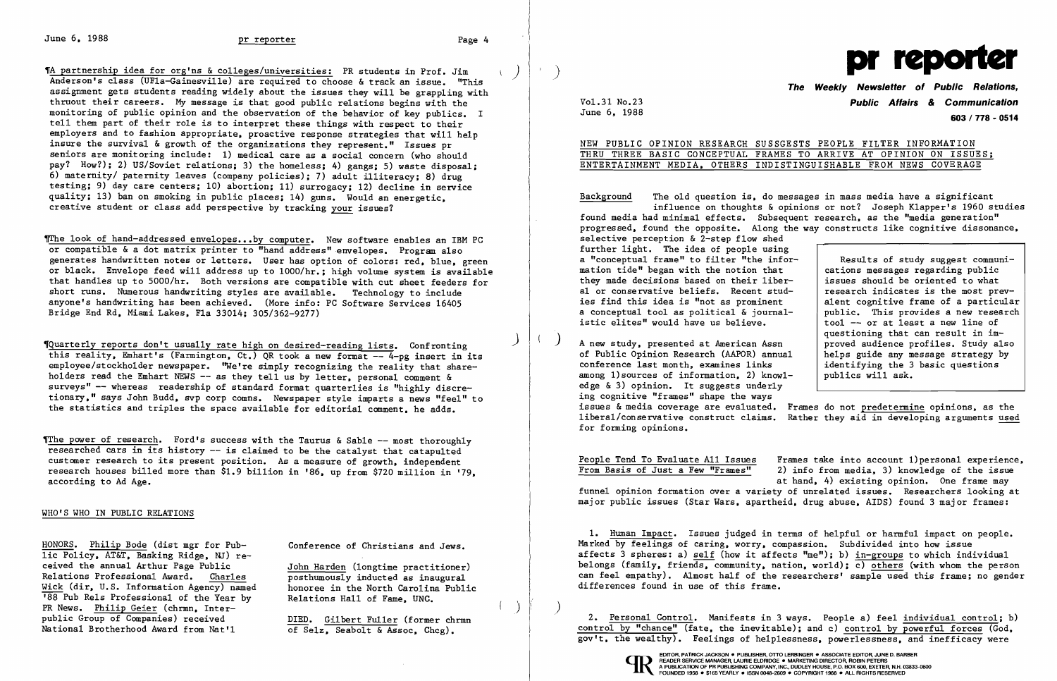June 6, 1988 **pr reporter pr reporter pr reporter Page 4** 

~A partnership idea for org'ns & colleges/universities: PR students in Prof. Jim ) Anderson's class (UFla-Gainesville) are required to choose & track an issue. "This assignment gets students reading widely about the issues they will be grappling with thruout their careers. My message is that good public relations begins with the monitoring of public opinion and the observation of the behavior of key publics. I tell them part of their role is to interpret these things with respect to their employers and to fashion appropriate, proactive response strategies that will help insure the survival & growth of the organizations they represent." Issues pr seniors are monitoring include: 1) medical care as a social concern (who should pay? How?); 2) US/Soviet relations; 3) the homeless; 4) gangs; 5) waste disposal; 6) maternity/ paternity leaves (company policies); 7) adult illiteracy; 8) drug testing; 9) day care centers; 10) abortion; 11) surrogacy; 12) decline in service quality; 13) ban on smoking in public places; 14) guns. Would an energetic, creative student or class add perspective by tracking your issues?

The look of hand-addressed envelopes...by computer. New software enables an IBM PC or compatible & a dot matrix printer to "hand address"envelopes. Program also generates handwritten notes or letters. User has option of colors: red, blue, green or black. Envelope feed will address up to 1000/hr.; high volume system is available that handles up to 5000/hr. Both versions are compatible with cut sheet feeders for short runs. Numerous handwriting styles are available. Technology to include anyone's handwriting has been achieved. (More info: PC Software Services 16405 Bridge End Rd, Miami Lakes, Fla 33014; 305/362-9277)

The power of research. Ford's success with the Taurus & Sable  $-$  most thoroughly researched cars in its history -- is claimed to be the catalyst that catapulted customer research to its present position. As a measure of growth, independent research houses billed more than \$1.9 billion in '86, up from \$720 million in '79, according to Ad Age.

> John Harden (longtime practitioner) posthumously inducted as inaugural honoree in the North Carolina Public Relations Hall of Fame, UNC.

) ~Quarterly reports don't usually rate high on desired-reading lists. Confronting this reality, Emhart's (Farmington, Ct.) QR took a new format -- 4-pg insert in its employee/stockholder newspaper. "We're simply recognizing the reality that shareholders read the Emhart NEWS -- as they tell us by letter, personal comment & surveys" -- whereas readership of standard format quarterlies is "highly discretionary," says John Budd, svp corp comns, Newspaper style imparts a news "feel" to the statistics and triples the space available for editorial comment, he adds.

### WHO'S WHO IN PUBLIC RELATIONS

HONORS. Philip Bode (dist mgr for Public Policy, AT&T, Basking Ridge, NJ) received the annual Arthur Page Public Relations Professional Award. Charles Wick (dir, U.S. Information Agency) named <sup>188</sup> Pub Rels Professional of the Year by PR News. Philip Geier (chrmn, Interpublic Group of Companies) received National Brotherhood Award from Nat'l

Conference of Christians and Jews.

DIED. Gilbert Fuller (former chrmn of Selz, Seabolt & Assoc, Chcg).

)

 $\mathbf{u}$ 

Vo1.31 No.23 June 6, 1988



|  |  | NEW PUBLIC OPINION RESEARCH SUSSGESTS PEOPLE FILTER INFORMATION    |  |  |  |  |  |
|--|--|--------------------------------------------------------------------|--|--|--|--|--|
|  |  | THRU THREE BASIC CONCEPTUAL FRAMES TO ARRIVE AT OPINION ON ISSUES: |  |  |  |  |  |
|  |  | ENTERTAINMENT MEDIA, OTHERS INDISTINGUISHABLE FROM NEWS COVERAGE   |  |  |  |  |  |

## **The Weekly Newsletter of Public Relations, Public Affairs** *&* **Communication 603/ 778 - 0514**

# ENTERTAINMENT MEDIA, OTHERS INDISTINGUISHABLE FROM NEWS COVERAGE

Background The old question is, do messages in mass media have a significant influence on thoughts & opinions or not? Joseph Klapper's 1960 studies found media had minimal effects. Subsequent research, as the "media generation" progressed, found the opposite. Along the way constructs like cognitive dissonance, selective perception & 2-step flow shed further light. The idea of people using a "conceptual frame" to filter "the info mation tide" began with the notion that they made decisions based on their libe al or conservative beliefs. Recent stud ies find this idea is "not as prominent a conceptual tool as political & journalistic elites" would have us believe. Results of study suggest communications messages regarding public issues should be oriented to what research indicates is the most prevalent cognitive frame of a particular public. This provides a new research

) A new study, presented at American Assn of Public Opinion Research (AAPOR) annual conference last month, examines links among 1) sources of information, 2) know edge & 3) opinion. It suggests underly helps guide any message strategy by identifying the 3 basic questions publics will ask. ing cognitive "frames" shape the ways issues & media coverage are evaluated. Frames do not predetermine opinions, as the liberal/conservative construct claims. Rather they aid in developing arguments used for forming opinions.

| B.    |                                       |
|-------|---------------------------------------|
| $or-$ | Results of study suggest communi-     |
|       | cations messages regarding public     |
| $r-$  | issues should be oriented to what     |
| $d-$  | research indicates is the most prev-  |
|       | alent cognitive frame of a particular |
| $1 -$ | public. This provides a new research  |
|       | tool -- or at least a new line of     |
|       | questioning that can result in im-    |
|       | proved audience profiles. Study also  |
| а1    | helps guide any message strategy by   |
|       | identifying the 3 basic questions     |
|       | publics will ask.                     |
|       |                                       |

Frames take into account l)personal experience, 2) info from media, 3) knowledge of the issue at hand, 4) existing opinion. One frame may

People Tend To Evaluate All Issues From Basis of Just a Few "Frames" funnel opinion formation over a variety of unrelated issues. Researchers looking at major public issues (Star Wars, apartheid, drug abuse, AIDS) found 3 major frames:

1. Human Impact. Issues judged in terms of helpful or harmful impact on people. Marked by feelings of caring, worry, compassion. Subdivided into how issue affects 3 spheres: a) self (how it affects "me"); b) in-groups to which individual belongs (family, friends, community, nation, world); c) others (with whom the person can feel empathy). Almost half of the researchers' sample used this frame; no gender differences found in use of this frame.

) 2. Personal Control. Manifests in 3 ways. People a) feel individual control; b) control by "chance" (fate, the inevitable); and c) control by powerful forces (God, gov't, the wealthy). Feelings of helplessness, powerlessness, and inefficacy were